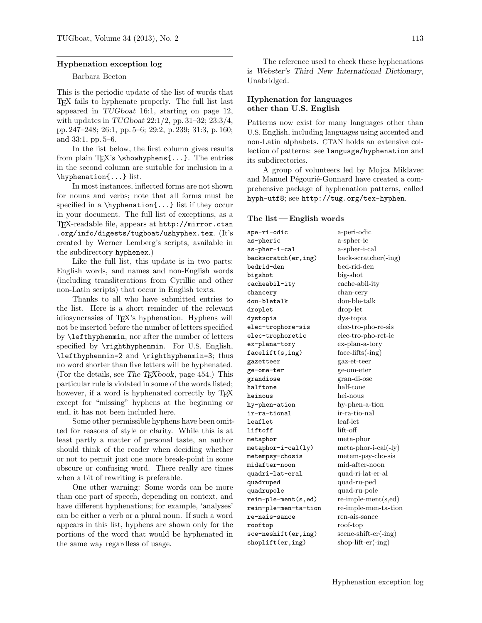#### Hyphenation exception log

### Barbara Beeton

This is the periodic update of the list of words that TEX fails to hyphenate properly. The full list last appeared in TUGboat 16:1, starting on page 12, with updates in TUGboat 22:1/2, pp. 31–32; 23:3/4, pp. 247–248; 26:1, pp. 5–6; 29:2, p. 239; 31:3, p. 160; and 33:1, pp. 5–6.

In the list below, the first column gives results from plain T<sub>E</sub>X's \showhyphens $\{ \ldots \}$ . The entries in the second column are suitable for inclusion in a \hyphenation{...} list.

In most instances, inflected forms are not shown for nouns and verbs; note that all forms must be specified in a  $\hbar$ yphenation $\{\ldots\}$  list if they occur in your document. The full list of exceptions, as a TEX-readable file, appears at http://mirror.ctan .org/info/digests/tugboat/ushyphex.tex. (It's created by Werner Lemberg's scripts, available in the subdirectory hyphenex.)

Like the full list, this update is in two parts: English words, and names and non-English words (including transliterations from Cyrillic and other non-Latin scripts) that occur in English texts.

Thanks to all who have submitted entries to the list. Here is a short reminder of the relevant idiosyncrasies of TEX's hyphenation. Hyphens will not be inserted before the number of letters specified by \lefthyphenmin, nor after the number of letters specified by \righthyphenmin. For U.S. English, \lefthyphenmin=2 and \righthyphenmin=3; thus no word shorter than five letters will be hyphenated. (For the details, see The T $EXbook$ , page 454.) This particular rule is violated in some of the words listed; however, if a word is hyphenated correctly by TEX except for "missing" hyphens at the beginning or end, it has not been included here.

Some other permissible hyphens have been omitted for reasons of style or clarity. While this is at least partly a matter of personal taste, an author should think of the reader when deciding whether or not to permit just one more break-point in some obscure or confusing word. There really are times when a bit of rewriting is preferable.

One other warning: Some words can be more than one part of speech, depending on context, and have different hyphenations; for example, 'analyses' can be either a verb or a plural noun. If such a word appears in this list, hyphens are shown only for the portions of the word that would be hyphenated in the same way regardless of usage.

The reference used to check these hyphenations is Webster's Third New International Dictionary, Unabridged.

## Hyphenation for languages other than U.S. English

Patterns now exist for many languages other than U.S. English, including languages using accented and non-Latin alphabets. CTAN holds an extensive collection of patterns: see language/hyphenation and its subdirectories.

A group of volunteers led by Mojca Miklavec and Manuel Pégourié-Gonnard have created a comprehensive package of hyphenation patterns, called hyph-utf8; see http://tug.org/tex-hyphen.

#### The list — English words

ape-ri-odic a-peri-odic as-pheric a-spher-ic as-pher-i-cal a-spher-i-cal backscratch(er,ing) back-scratcher(-ing) bedrid-den bed-rid-den bigshot big-shot cacheabil-ity cache-abil-ity chancery chan-cery dou-bletalk dou-ble-talk droplet drop-let dystopia dys-topia elec-trophore-sis elec-tro-pho-re-sis elec-trophoretic elec-tro-pho-ret-ic ex-plana-tory ex-plan-a-tory facelift(s,ing) face-lifts(-ing) gazetteer gaz-et-teer ge-ome-ter ge-om-eter grandiose gran-di-ose halftone half-tone heinous hei-nous hy-phen-ation hy-phen-a-tion ir-ra-tional ir-ra-tio-nal leaf1et leaf-let liftoff lift-off metaphor meta-phor metaphor-i-cal(ly) meta-phor-i-cal(-ly) metempsy-chosis metem-psy-cho-sis midafter-noon mid-after-noon quadri-lat-eral quad-ri-lat-er-al quadruped quad-ru-ped quadrupole quad-ru-pole  $\texttt{reim-ple-ment}(s, \texttt{ed})$  re-imple-ment(s,ed) reim-ple-men-ta-tion re-imple-men-ta-tion re-nais-sance ren-ais-sance rooftop roof-top sce-neshift(er,ing) scene-shift-er(-ing) shoplift(er,ing) shop-lift-er(-ing)